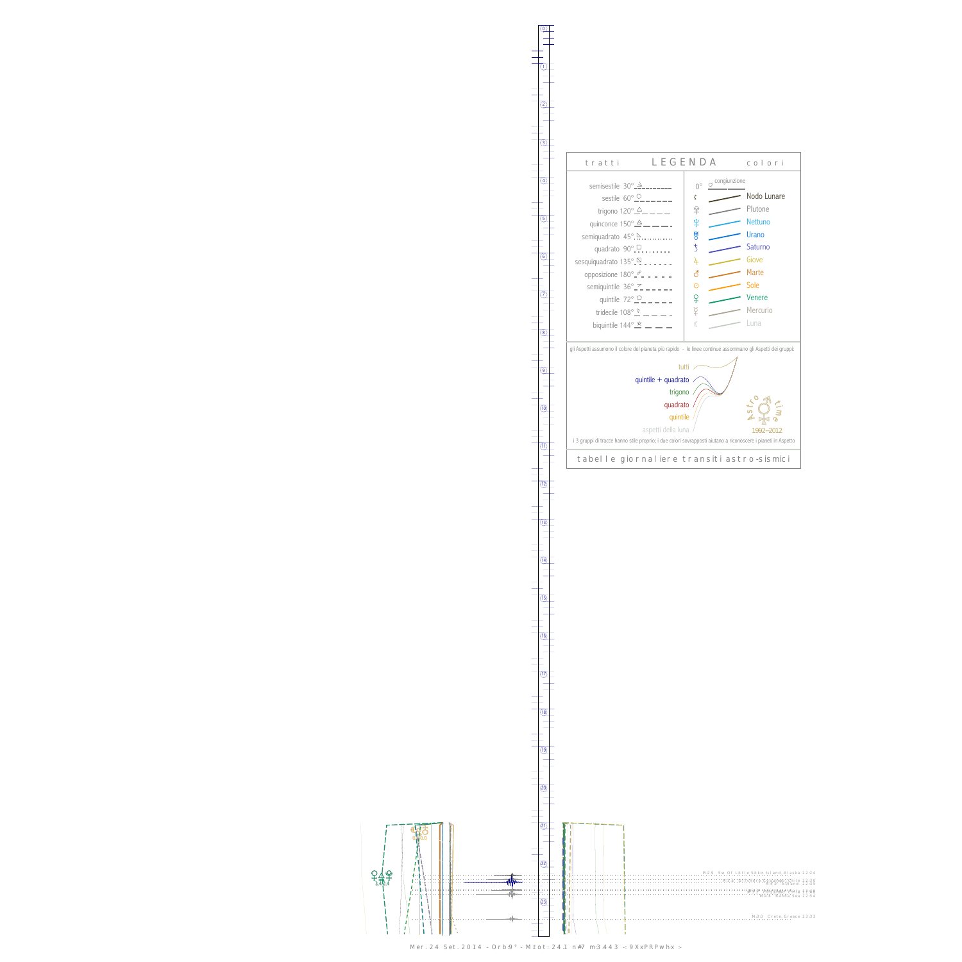<u>የች</u>  $\frac{1}{3.42}$